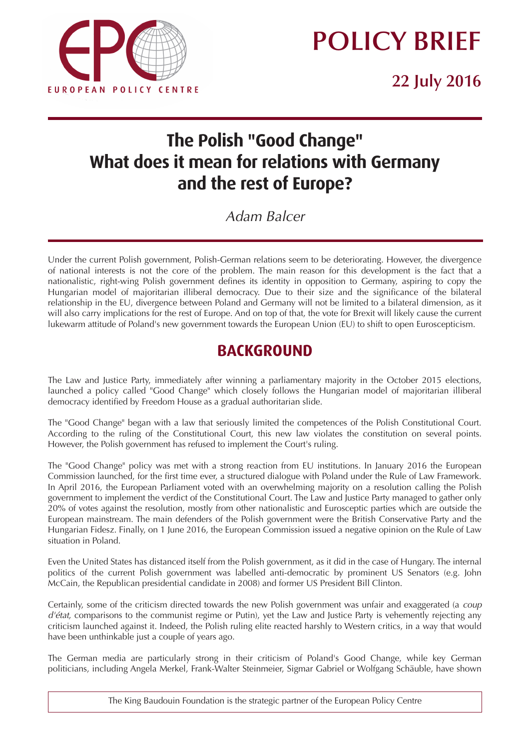

# **POLICY BRIEF**

**22 July 2016**

## **The Polish "Good Change" What does it mean for relations with Germany and the rest of Europe?**

Adam Balcer

Under the current Polish government, Polish-German relations seem to be deteriorating. However, the divergence of national interests is not the core of the problem. The main reason for this development is the fact that a nationalistic, right-wing Polish government defines its identity in opposition to Germany, aspiring to copy the Hungarian model of majoritarian illiberal democracy. Due to their size and the significance of the bilateral relationship in the EU, divergence between Poland and Germany will not be limited to a bilateral dimension, as it will also carry implications for the rest of Europe. And on top of that, the vote for Brexit will likely cause the current lukewarm attitude of Poland's new government towards the European Union (EU) to shift to open Euroscepticism.

## **BACKGROUND**

The Law and Justice Party, immediately after winning a parliamentary majority in the October 2015 elections, launched a policy called "Good Change" which closely follows the Hungarian model of majoritarian illiberal democracy identified by Freedom House as a gradual authoritarian slide.

The "Good Change" began with a law that seriously limited the competences of the Polish Constitutional Court. According to the ruling of the Constitutional Court, this new law violates the constitution on several points. However, the Polish government has refused to implement the Court's ruling.

The "Good Change" policy was met with a strong reaction from EU institutions. In January 2016 the European Commission launched, for the first time ever, a structured dialogue with Poland under the Rule of Law Framework. In April 2016, the European Parliament voted with an overwhelming majority on a resolution calling the Polish government to implement the verdict of the Constitutional Court. The Law and Justice Party managed to gather only 20% of votes against the resolution, mostly from other nationalistic and Eurosceptic parties which are outside the European mainstream. The main defenders of the Polish government were the British Conservative Party and the Hungarian Fidesz. Finally, on 1 June 2016, the European Commission issued a negative opinion on the Rule of Law situation in Poland.

Even the United States has distanced itself from the Polish government, as it did in the case of Hungary. The internal politics of the current Polish government was labelled anti-democratic by prominent US Senators (e.g. John McCain, the Republican presidential candidate in 2008) and former US President Bill Clinton.

Certainly, some of the criticism directed towards the new Polish government was unfair and exaggerated (a coup d'état, comparisons to the communist regime or Putin), yet the Law and Justice Party is vehemently rejecting any criticism launched against it. Indeed, the Polish ruling elite reacted harshly to Western critics, in a way that would have been unthinkable just a couple of years ago.

The German media are particularly strong in their criticism of Poland's Good Change, while key German politicians, including Angela Merkel, Frank-Walter Steinmeier, Sigmar Gabriel or Wolfgang Schäuble, have shown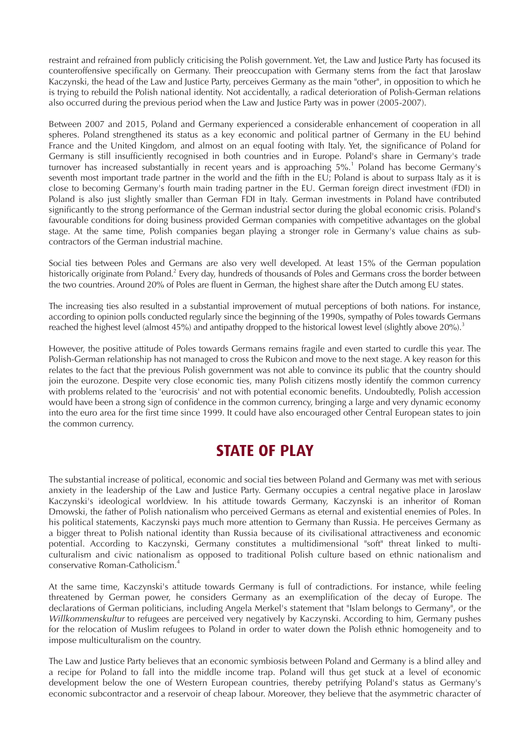restraint and refrained from publicly criticising the Polish government. Yet, the Law and Justice Party has focused its counteroffensive specifically on Germany. Their preoccupation with Germany stems from the fact that Jaroslaw Kaczynski, the head of the Law and Justice Party, perceives Germany as the main "other", in opposition to which he is trying to rebuild the Polish national identity. Not accidentally, a radical deterioration of Polish-German relations also occurred during the previous period when the Law and Justice Party was in power (2005-2007).

Between 2007 and 2015, Poland and Germany experienced a considerable enhancement of cooperation in all spheres. Poland strengthened its status as a key economic and political partner of Germany in the EU behind France and the United Kingdom, and almost on an equal footing with Italy. Yet, the significance of Poland for Germany is still insufficiently recognised in both countries and in Europe. Poland's share in Germany's trade turnover has increased substantially in recent years and is approaching 5%.<sup>1</sup> Poland has become Germany's seventh most important trade partner in the world and the fifth in the EU; Poland is about to surpass Italy as it is close to becoming Germany's fourth main trading partner in the EU. German foreign direct investment (FDI) in Poland is also just slightly smaller than German FDI in Italy. German investments in Poland have contributed significantly to the strong performance of the German industrial sector during the global economic crisis. Poland's favourable conditions for doing business provided German companies with competitive advantages on the global stage. At the same time, Polish companies began playing a stronger role in Germany's value chains as subcontractors of the German industrial machine.

Social ties between Poles and Germans are also very well developed. At least 15% of the German population historically originate from Poland.<sup>2</sup> Every day, hundreds of thousands of Poles and Germans cross the border between the two countries. Around 20% of Poles are fluent in German, the highest share after the Dutch among EU states.

The increasing ties also resulted in a substantial improvement of mutual perceptions of both nations. For instance, according to opinion polls conducted regularly since the beginning of the 1990s, sympathy of Poles towards Germans reached the highest level (almost 45%) and antipathy dropped to the historical lowest level (slightly above 20%).<sup>3</sup>

However, the positive attitude of Poles towards Germans remains fragile and even started to curdle this year. The Polish-German relationship has not managed to cross the Rubicon and move to the next stage. A key reason for this relates to the fact that the previous Polish government was not able to convince its public that the country should join the eurozone. Despite very close economic ties, many Polish citizens mostly identify the common currency with problems related to the 'eurocrisis' and not with potential economic benefits. Undoubtedly, Polish accession would have been a strong sign of confidence in the common currency, bringing a large and very dynamic economy into the euro area for the first time since 1999. It could have also encouraged other Central European states to join the common currency.

### **STATE OF PLAY**

The substantial increase of political, economic and social ties between Poland and Germany was met with serious anxiety in the leadership of the Law and Justice Party. Germany occupies a central negative place in Jaroslaw Kaczynski's ideological worldview. In his attitude towards Germany, Kaczynski is an inheritor of Roman Dmowski, the father of Polish nationalism who perceived Germans as eternal and existential enemies of Poles. In his political statements, Kaczynski pays much more attention to Germany than Russia. He perceives Germany as a bigger threat to Polish national identity than Russia because of its civilisational attractiveness and economic potential. According to Kaczynski, Germany constitutes a multidimensional "soft" threat linked to multiculturalism and civic nationalism as opposed to traditional Polish culture based on ethnic nationalism and conservative Roman-Catholicism.4

At the same time, Kaczynski's attitude towards Germany is full of contradictions. For instance, while feeling threatened by German power, he considers Germany as an exemplification of the decay of Europe. The declarations of German politicians, including Angela Merkel's statement that "Islam belongs to Germany", or the Willkommenskultur to refugees are perceived very negatively by Kaczynski. According to him, Germany pushes for the relocation of Muslim refugees to Poland in order to water down the Polish ethnic homogeneity and to impose multiculturalism on the country.

The Law and Justice Party believes that an economic symbiosis between Poland and Germany is a blind alley and a recipe for Poland to fall into the middle income trap. Poland will thus get stuck at a level of economic development below the one of Western European countries, thereby petrifying Poland's status as Germany's economic subcontractor and a reservoir of cheap labour. Moreover, they believe that the asymmetric character of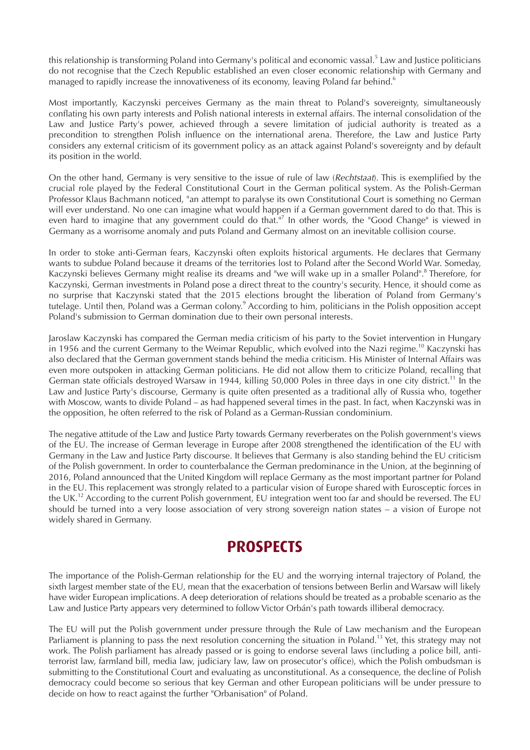this relationship is transforming Poland into Germany's political and economic vassal.<sup>5</sup> Law and Justice politicians do not recognise that the Czech Republic established an even closer economic relationship with Germany and managed to rapidly increase the innovativeness of its economy, leaving Poland far behind.<sup>6</sup>

Most importantly, Kaczynski perceives Germany as the main threat to Poland's sovereignty, simultaneously conflating his own party interests and Polish national interests in external affairs. The internal consolidation of the Law and Justice Party's power, achieved through a severe limitation of judicial authority is treated as a precondition to strengthen Polish influence on the international arena. Therefore, the Law and Justice Party considers any external criticism of its government policy as an attack against Poland's sovereignty and by default its position in the world.

On the other hand, Germany is very sensitive to the issue of rule of law (Rechtstaat). This is exemplified by the crucial role played by the Federal Constitutional Court in the German political system. As the Polish-German Professor Klaus Bachmann noticed, "an attempt to paralyse its own Constitutional Court is something no German will ever understand. No one can imagine what would happen if a German government dared to do that. This is even hard to imagine that any government could do that."<sup>7</sup> In other words, the "Good Change" is viewed in Germany as a worrisome anomaly and puts Poland and Germany almost on an inevitable collision course.

In order to stoke anti-German fears, Kaczynski often exploits historical arguments. He declares that Germany wants to subdue Poland because it dreams of the territories lost to Poland after the Second World War. Someday, Kaczynski believes Germany might realise its dreams and "we will wake up in a smaller Poland".<sup>8</sup> Therefore, for Kaczynski, German investments in Poland pose a direct threat to the country's security. Hence, it should come as no surprise that Kaczynski stated that the 2015 elections brought the liberation of Poland from Germany's tutelage. Until then, Poland was a German colony.<sup>9</sup> According to him, politicians in the Polish opposition accept Poland's submission to German domination due to their own personal interests.

Jaroslaw Kaczynski has compared the German media criticism of his party to the Soviet intervention in Hungary in 1956 and the current Germany to the Weimar Republic, which evolved into the Nazi regime.<sup>10</sup> Kaczynski has also declared that the German government stands behind the media criticism. His Minister of Internal Affairs was even more outspoken in attacking German politicians. He did not allow them to criticize Poland, recalling that German state officials destroyed Warsaw in 1944, killing 50,000 Poles in three days in one city district.<sup>11</sup> In the Law and Justice Party's discourse, Germany is quite often presented as a traditional ally of Russia who, together with Moscow, wants to divide Poland – as had happened several times in the past. In fact, when Kaczynski was in the opposition, he often referred to the risk of Poland as a German-Russian condominium.

The negative attitude of the Law and Justice Party towards Germany reverberates on the Polish government's views of the EU. The increase of German leverage in Europe after 2008 strengthened the identification of the EU with Germany in the Law and Justice Party discourse. It believes that Germany is also standing behind the EU criticism of the Polish government. In order to counterbalance the German predominance in the Union, at the beginning of 2016, Poland announced that the United Kingdom will replace Germany as the most important partner for Poland in the EU. This replacement was strongly related to a particular vision of Europe shared with Eurosceptic forces in the UK.<sup>12</sup> According to the current Polish government, EU integration went too far and should be reversed. The EU should be turned into a very loose association of very strong sovereign nation states – a vision of Europe not widely shared in Germany.

#### **PROSPECTS**

The importance of the Polish-German relationship for the EU and the worrying internal trajectory of Poland, the sixth largest member state of the EU, mean that the exacerbation of tensions between Berlin and Warsaw will likely have wider European implications. A deep deterioration of relations should be treated as a probable scenario as the Law and Justice Party appears very determined to follow Victor Orbán's path towards illiberal democracy.

The EU will put the Polish government under pressure through the Rule of Law mechanism and the European Parliament is planning to pass the next resolution concerning the situation in Poland.<sup>13</sup> Yet, this strategy may not work. The Polish parliament has already passed or is going to endorse several laws (including a police bill, antiterrorist law, farmland bill, media law, judiciary law, law on prosecutor's office), which the Polish ombudsman is submitting to the Constitutional Court and evaluating as unconstitutional. As a consequence, the decline of Polish democracy could become so serious that key German and other European politicians will be under pressure to decide on how to react against the further "Orbanisation" of Poland.